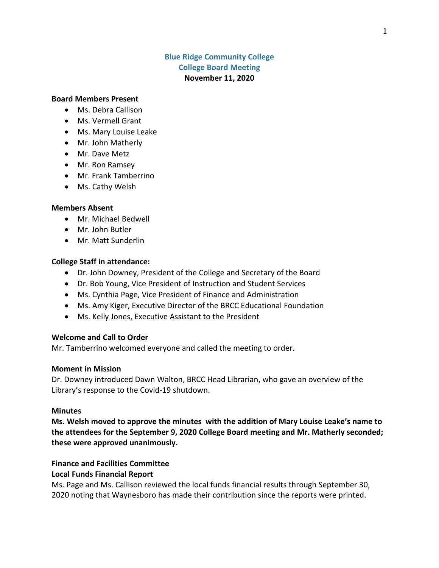## **Blue Ridge Community College College Board Meeting November 11, 2020**

### **Board Members Present**

- Ms. Debra Callison
- Ms. Vermell Grant
- Ms. Mary Louise Leake
- Mr. John Matherly
- Mr. Dave Metz
- Mr. Ron Ramsey
- Mr. Frank Tamberrino
- Ms. Cathy Welsh

#### **Members Absent**

- Mr. Michael Bedwell
- Mr. John Butler
- Mr. Matt Sunderlin

#### **College Staff in attendance:**

- Dr. John Downey, President of the College and Secretary of the Board
- Dr. Bob Young, Vice President of Instruction and Student Services
- Ms. Cynthia Page, Vice President of Finance and Administration
- Ms. Amy Kiger, Executive Director of the BRCC Educational Foundation
- Ms. Kelly Jones, Executive Assistant to the President

### **Welcome and Call to Order**

Mr. Tamberrino welcomed everyone and called the meeting to order.

### **Moment in Mission**

Dr. Downey introduced Dawn Walton, BRCC Head Librarian, who gave an overview of the Library's response to the Covid-19 shutdown.

#### **Minutes**

**Ms. Welsh moved to approve the minutes with the addition of Mary Louise Leake's name to the attendees for the September 9, 2020 College Board meeting and Mr. Matherly seconded; these were approved unanimously.**

## **Finance and Facilities Committee**

### **Local Funds Financial Report**

Ms. Page and Ms. Callison reviewed the local funds financial results through September 30, 2020 noting that Waynesboro has made their contribution since the reports were printed.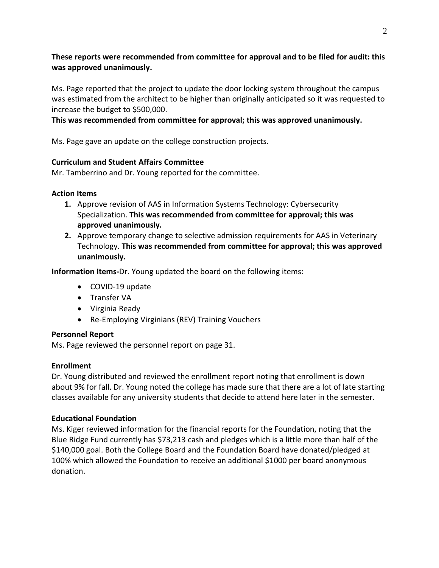# **These reports were recommended from committee for approval and to be filed for audit: this was approved unanimously.**

Ms. Page reported that the project to update the door locking system throughout the campus was estimated from the architect to be higher than originally anticipated so it was requested to increase the budget to \$500,000.

## **This was recommended from committee for approval; this was approved unanimously.**

Ms. Page gave an update on the college construction projects.

## **Curriculum and Student Affairs Committee**

Mr. Tamberrino and Dr. Young reported for the committee.

## **Action Items**

- **1.** Approve revision of AAS in Information Systems Technology: Cybersecurity Specialization. **This was recommended from committee for approval; this was approved unanimously.**
- **2.** Approve temporary change to selective admission requirements for AAS in Veterinary Technology. **This was recommended from committee for approval; this was approved unanimously.**

**Information Items-**Dr. Young updated the board on the following items:

- COVID-19 update
- Transfer VA
- Virginia Ready
- Re-Employing Virginians (REV) Training Vouchers

# **Personnel Report**

Ms. Page reviewed the personnel report on page 31.

# **Enrollment**

Dr. Young distributed and reviewed the enrollment report noting that enrollment is down about 9% for fall. Dr. Young noted the college has made sure that there are a lot of late starting classes available for any university students that decide to attend here later in the semester.

# **Educational Foundation**

Ms. Kiger reviewed information for the financial reports for the Foundation, noting that the Blue Ridge Fund currently has \$73,213 cash and pledges which is a little more than half of the \$140,000 goal. Both the College Board and the Foundation Board have donated/pledged at 100% which allowed the Foundation to receive an additional \$1000 per board anonymous donation.